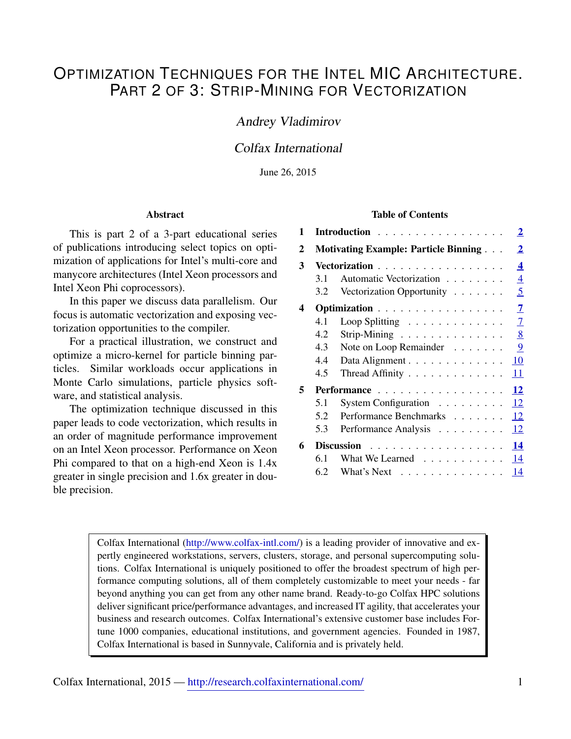# OPTIMIZATION TECHNIQUES FOR THE INTEL MIC ARCHITECTURE. PART 2 OF 3: STRIP-MINING FOR VECTORIZATION

# Andrey Vladimirov

# Colfax International

June 26, 2015

#### Abstract

This is part 2 of a 3-part educational series of publications introducing select topics on optimization of applications for Intel's multi-core and manycore architectures (Intel Xeon processors and Intel Xeon Phi coprocessors).

In this paper we discuss data parallelism. Our focus is automatic vectorization and exposing vectorization opportunities to the compiler.

For a practical illustration, we construct and optimize a micro-kernel for particle binning particles. Similar workloads occur applications in Monte Carlo simulations, particle physics software, and statistical analysis.

The optimization technique discussed in this paper leads to code vectorization, which results in an order of magnitude performance improvement on an Intel Xeon processor. Performance on Xeon Phi compared to that on a high-end Xeon is 1.4x greater in single precision and 1.6x greater in double precision.

#### Table of Contents

| 1 | $\overline{2}$<br>Introduction |                                                                |
|---|--------------------------------|----------------------------------------------------------------|
| 2 |                                | $\overline{2}$<br><b>Motivating Example: Particle Binning </b> |
| 3 | Vectorization                  |                                                                |
|   | 3.1                            | $\overline{4}$<br>Automatic Vectorization                      |
|   | $3.2^{\circ}$                  | 5<br>Vectorization Opportunity                                 |
| 4 |                                | $\overline{7}$<br>Optimization                                 |
|   | 4.1                            | $\overline{7}$<br>Loop Splitting                               |
|   | 4.2                            | 8<br>Strip-Mining                                              |
|   | 4.3                            | 9<br>Note on Loop Remainder                                    |
|   | 4.4                            | 10<br>Data Alignment                                           |
|   | 4.5                            | 11<br>Thread Affinity                                          |
| 5 | 12<br>Performance              |                                                                |
|   | 5.1                            | 12<br>System Configuration                                     |
|   | 5.2                            | 12<br>Performance Benchmarks                                   |
|   | 5.3                            | 12<br>Performance Analysis                                     |
| 6 | 14<br>Discussion               |                                                                |
|   | 6.1                            | 14<br>What We Learned                                          |
|   | 6.2                            | 14<br>What's Next                                              |

Colfax International [\(http://www.colfax-intl.com/\)](http://www.colfax-intl.com) is a leading provider of innovative and expertly engineered workstations, servers, clusters, storage, and personal supercomputing solutions. Colfax International is uniquely positioned to offer the broadest spectrum of high performance computing solutions, all of them completely customizable to meet your needs - far beyond anything you can get from any other name brand. Ready-to-go Colfax HPC solutions deliver significant price/performance advantages, and increased IT agility, that accelerates your business and research outcomes. Colfax International's extensive customer base includes Fortune 1000 companies, educational institutions, and government agencies. Founded in 1987, Colfax International is based in Sunnyvale, California and is privately held.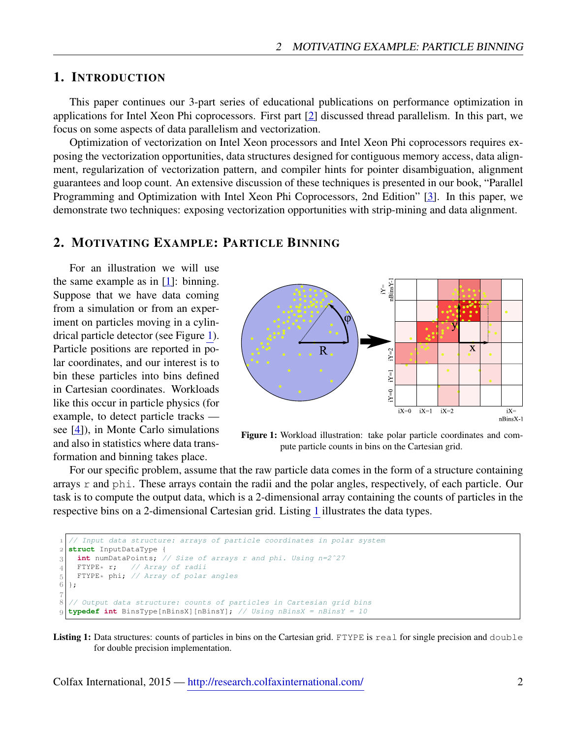## <span id="page-1-0"></span>1. INTRODUCTION

This paper continues our 3-part series of educational publications on performance optimization in applications for Intel Xeon Phi coprocessors. First part [\[2\]](#page-13-3) discussed thread parallelism. In this part, we focus on some aspects of data parallelism and vectorization.

Optimization of vectorization on Intel Xeon processors and Intel Xeon Phi coprocessors requires exposing the vectorization opportunities, data structures designed for contiguous memory access, data alignment, regularization of vectorization pattern, and compiler hints for pointer disambiguation, alignment guarantees and loop count. An extensive discussion of these techniques is presented in our book, "Parallel Programming and Optimization with Intel Xeon Phi Coprocessors, 2nd Edition" [\[3\]](#page-13-4). In this paper, we demonstrate two techniques: exposing vectorization opportunities with strip-mining and data alignment.

## <span id="page-1-1"></span>2. MOTIVATING EXAMPLE: PARTICLE BINNING

For an illustration we will use the same example as in [\[1\]](#page-13-5): binning. Suppose that we have data coming from a simulation or from an experiment on particles moving in a cylindrical particle detector (see Figure [1\)](#page-1-2). Particle positions are reported in polar coordinates, and our interest is to bin these particles into bins defined in Cartesian coordinates. Workloads like this occur in particle physics (for example, to detect particle tracks see [\[4\]](#page-13-6)), in Monte Carlo simulations and also in statistics where data transformation and binning takes place.

<span id="page-1-2"></span>

Figure 1: Workload illustration: take polar particle coordinates and compute particle counts in bins on the Cartesian grid.

For our specific problem, assume that the raw particle data comes in the form of a structure containing arrays r and phi. These arrays contain the radii and the polar angles, respectively, of each particle. Our task is to compute the output data, which is a 2-dimensional array containing the counts of particles in the respective bins on a 2-dimensional Cartesian grid. Listing [1](#page-1-3) illustrates the data types.

```
 // Input data structure: arrays of particle coordinates in polar system
   struct InputDataType {
 int numDataPoints; // Size of arrays r and phi. Using n=2ˆ27
     FTYPE* r; // Array of radii
\begin{bmatrix} 5 \\ 6 \end{bmatrix} FTYPE* phi; // Array of polar angles
   };
\overline{7} // Output data structure: counts of particles in Cartesian grid bins
   typedef int BinsType[nBinsX][nBinsY]; // Using nBinsX = nBinsY = 10
```
Listing 1: Data structures: counts of particles in bins on the Cartesian grid. FTYPE is real for single precision and double for double precision implementation.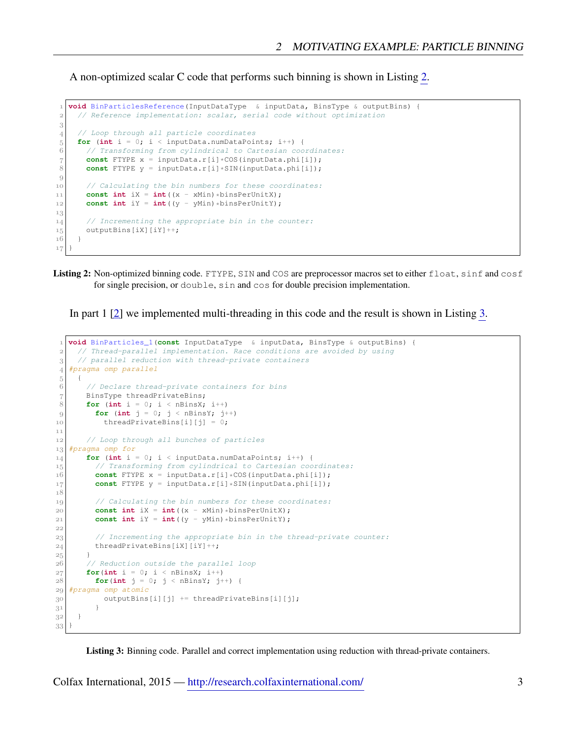A non-optimized scalar C code that performs such binning is shown in Listing [2.](#page-2-0)

```
 void BinParticlesReference(InputDataType & inputData, BinsType & outputBins) {
 // Reference implementation: scalar, serial code without optimization
3
 // Loop through all particle coordinates
for (int i = 0; i < inputData.numDataPoints; i++) {<br>6 // Transforming from cylindrical to Cartesian coo
        // Transforming from cylindrical to Cartesian coordinates:
 7 const FTYPE x = inputData.r[i]*COS(inputData.phi[i]);
8 const FTYPE y = inputData.r[i]*SIM(inputData.php[i]);\overline{9}10 // Calculating the bin numbers for these coordinates:
const int iX = int (x - xMin) * binsPerUnitX);<br>const int iY = int ((y - yMin) * binsPerUnitY);
       const int iY = int ((y - yMin) *binsPerUnitY);
13
14 // Incrementing the appropriate bin in the counter:
15 outputBins[iX][iY]++;
16 }
17
```
Listing 2: Non-optimized binning code. FTYPE, SIN and COS are preprocessor macros set to either float, sinf and cosf for single precision, or double, sin and cos for double precision implementation.

In part 1 [\[2\]](#page-13-3) we implemented multi-threading in this code and the result is shown in Listing [3.](#page-2-1)

```
 void BinParticles_1(const InputDataType & inputData, BinsType & outputBins) {
 // Thread-parallel implementation. Race conditions are avoided by using
3 // parallel reduction with thread-private containers
 #pragma omp parallel
5 \mid \quad \uparrow6 // Declare thread-private containers for bins
7 BinsType threadPrivateBins;
8 for (int i = 0; i < nBinsX; i++)
|9| for (int j = 0; j < nBinsY; j++)10 threadPrivateBins[i][j] = 0;
1\,1 // Loop through all bunches of particles
 #pragma omp for
\mathbf{f} for (int i = 0; i < inputData.numDataPoints; i++) {
 // Transforming from cylindrical to Cartesian coordinates:
16 const FTYPE x = inputData.r[i] * COS(inputData.php[i]);
17 const FTYPE y = inputData.r[i]*SIN(inputData.phi[i]);
1819 // Calculating the bin numbers for these coordinates:
20 const int iX = int((x - xMin)*binsPerUnitX);
21 const int iY = int((y - yMin)*binsPerUnitY);
2223 // Incrementing the appropriate bin in the thread-private counter:
24 threadPrivateBins[iX][iY]++;
25
 // Reduction outside the parallel loop
27 for(int i = 0; i < nBinsX; i++)
28 for(int j = 0; j < nBinsY; j++) {
 #pragma omp atomic
|30| outputBins[i][j] += threadPrivateBins[i][j];
3^1 }
32
33
```
Listing 3: Binning code. Parallel and correct implementation using reduction with thread-private containers.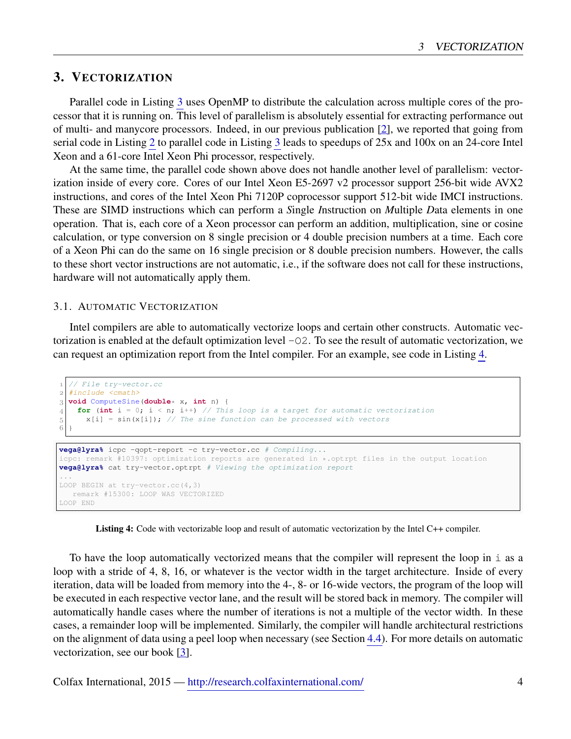# <span id="page-3-0"></span>3. VECTORIZATION

Parallel code in Listing [3](#page-2-1) uses OpenMP to distribute the calculation across multiple cores of the processor that it is running on. This level of parallelism is absolutely essential for extracting performance out of multi- and manycore processors. Indeed, in our previous publication [\[2\]](#page-13-3), we reported that going from serial code in Listing [2](#page-2-0) to parallel code in Listing [3](#page-2-1) leads to speedups of 25x and 100x on an 24-core Intel Xeon and a 61-core Intel Xeon Phi processor, respectively.

At the same time, the parallel code shown above does not handle another level of parallelism: vectorization inside of every core. Cores of our Intel Xeon E5-2697 v2 processor support 256-bit wide AVX2 instructions, and cores of the Intel Xeon Phi 7120P coprocessor support 512-bit wide IMCI instructions. These are SIMD instructions which can perform a *S*ingle *I*nstruction on *M*ultiple *D*ata elements in one operation. That is, each core of a Xeon processor can perform an addition, multiplication, sine or cosine calculation, or type conversion on 8 single precision or 4 double precision numbers at a time. Each core of a Xeon Phi can do the same on 16 single precision or 8 double precision numbers. However, the calls to these short vector instructions are not automatic, i.e., if the software does not call for these instructions, hardware will not automatically apply them.

#### <span id="page-3-1"></span>3.1. AUTOMATIC VECTORIZATION

Intel compilers are able to automatically vectorize loops and certain other constructs. Automatic vectorization is enabled at the default optimization level -O2. To see the result of automatic vectorization, we can request an optimization report from the Intel compiler. For an example, see code in Listing [4.](#page-3-2)

```
 // File try-vector.cc
2 \mid \text{\#include} <cmath>
 void ComputeSine(double* x, int n) {
 for (int i = 0; i < n; i++) // This loop is a target for automatic vectorization
5 x[i] = sin(x[i]); // The sine function can be processed with vectors
6
```

```
vega@lyra% icpc -qopt-report -c try-vector.cc # Compiling...
icpc: remark #10397: optimization reports are generated in *.optrpt files in the output location
vega@lyra% cat try-vector.optrpt # Viewing the optimization report
...
LOOP BEGIN at try-vector.cc(4,3)
  remark #15300: LOOP WAS VECTORIZED
LOOP END
```
Listing 4: Code with vectorizable loop and result of automatic vectorization by the Intel C++ compiler.

To have the loop automatically vectorized means that the compiler will represent the loop in i as a loop with a stride of 4, 8, 16, or whatever is the vector width in the target architecture. Inside of every iteration, data will be loaded from memory into the 4-, 8- or 16-wide vectors, the program of the loop will be executed in each respective vector lane, and the result will be stored back in memory. The compiler will automatically handle cases where the number of iterations is not a multiple of the vector width. In these cases, a remainder loop will be implemented. Similarly, the compiler will handle architectural restrictions on the alignment of data using a peel loop when necessary (see Section [4.4\)](#page-9-0). For more details on automatic vectorization, see our book [\[3\]](#page-13-4).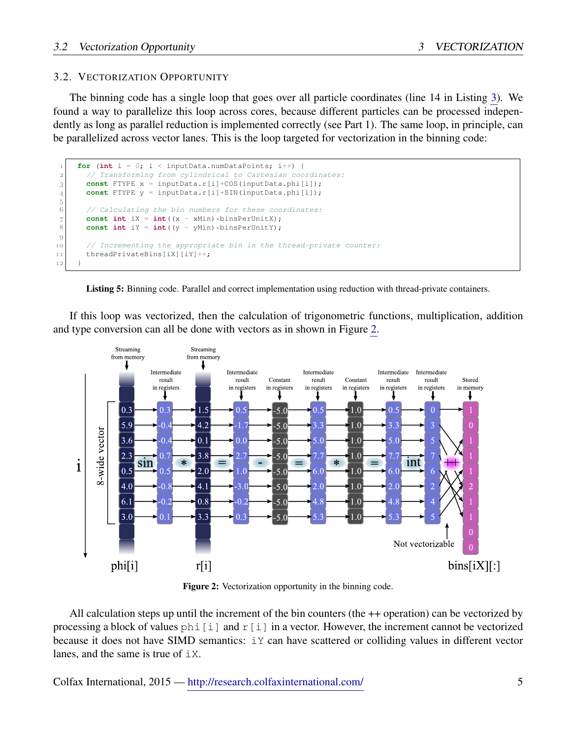### <span id="page-4-0"></span>3.2. VECTORIZATION OPPORTUNITY

The binning code has a single loop that goes over all particle coordinates (line 14 in Listing [3\)](#page-2-1). We found a way to parallelize this loop across cores, because different particles can be processed independently as long as parallel reduction is implemented correctly (see Part 1). The same loop, in principle, can be parallelized across vector lanes. This is the loop targeted for vectorization in the binning code:

```
for (int i = 0; i < inputData.numDataPoints; i^{++}) {
 // Transforming from cylindrical to Cartesian coordinates:
\begin{bmatrix} 3 \end{bmatrix} const FTYPE x = inputData.r[i]*COS(inputData.php[i]);4 const FTYPE y = inputData.r[i]*SIN(inputData.phi[i]);
^5 6
        // Calculating the bin numbers for these coordinates:
\tau const int iX = int ((x - xMin) *binsPerUnitX);
8 const int iY = int((y - yMin) * binsPerUnitY);
\boldsymbol{9}10 // Incrementing the appropriate bin in the thread-private counter:
11 threadPrivateBins[iX][iY]++;
12 }
```


If this loop was vectorized, then the calculation of trigonometric functions, multiplication, addition and type conversion can all be done with vectors as in shown in Figure [2.](#page-4-1)

<span id="page-4-1"></span>

Figure 2: Vectorization opportunity in the binning code.

All calculation steps up until the increment of the bin counters (the ++ operation) can be vectorized by processing a block of values  $\phi$ hi $[i]$  and  $r[i]$  in a vector. However, the increment cannot be vectorized because it does not have SIMD semantics: iY can have scattered or colliding values in different vector lanes, and the same is true of  $\pm \times$ .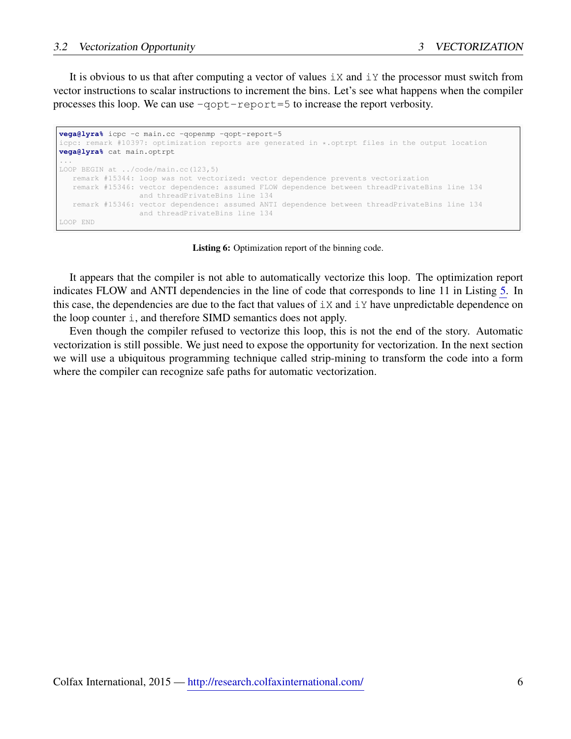It is obvious to us that after computing a vector of values  $\exists X$  and  $\exists Y$  the processor must switch from vector instructions to scalar instructions to increment the bins. Let's see what happens when the compiler processes this loop. We can use  $-q$ opt-report=5 to increase the report verbosity.

```
vega@lyra% icpc -c main.cc -qopenmp -qopt-report=5
icpc: remark #10397: optimization reports are generated in *.optrpt files in the output location
vega@lyra% cat main.optrpt
...
LOOP BEGIN at ../code/main.cc(123,5)
  remark #15344: loop was not vectorized: vector dependence prevents vectorization
   remark #15346: vector dependence: assumed FLOW dependence between threadPrivateBins line 134
                 and threadPrivateBins line 134
   remark #15346: vector dependence: assumed ANTI dependence between threadPrivateBins line 134
                 and threadPrivateBins line 134
LOOP END
```
Listing 6: Optimization report of the binning code.

It appears that the compiler is not able to automatically vectorize this loop. The optimization report indicates FLOW and ANTI dependencies in the line of code that corresponds to line 11 in Listing [5.](#page-4-2) In this case, the dependencies are due to the fact that values of  $\pm x$  and  $\pm y$  have unpredictable dependence on the loop counter i, and therefore SIMD semantics does not apply.

Even though the compiler refused to vectorize this loop, this is not the end of the story. Automatic vectorization is still possible. We just need to expose the opportunity for vectorization. In the next section we will use a ubiquitous programming technique called strip-mining to transform the code into a form where the compiler can recognize safe paths for automatic vectorization.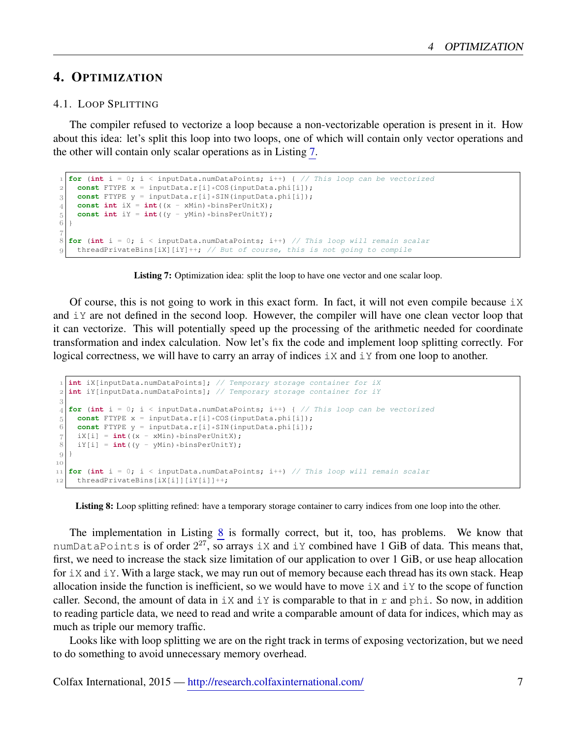# <span id="page-6-0"></span>4. OPTIMIZATION

#### <span id="page-6-1"></span>4.1. LOOP SPLITTING

The compiler refused to vectorize a loop because a non-vectorizable operation is present in it. How about this idea: let's split this loop into two loops, one of which will contain only vector operations and the other will contain only scalar operations as in Listing [7.](#page-6-2)

```
 for (int i = 0; i < inputData.numDataPoints; i++) { // This loop can be vectorized
2 const FTYPE x = inputData.r[i] * COS(inputData.php[i]);
3 const FTYPE y = inputData.r[i]*SIM(inputData.php[i]);const int iX = int((x - xMin) * binsPerUnitX);5 const int iY = int((y - yMin) *binsPerUnitY);
\frac{6}{6} }
\overline{7} for (int i = 0; i < inputData.numDataPoints; i++) // This loop will remain scalar
g threadPrivateBins[iX][iY]++; // But of course, this is not going to compile
```


Of course, this is not going to work in this exact form. In fact, it will not even compile because  $i \times$ and iY are not defined in the second loop. However, the compiler will have one clean vector loop that it can vectorize. This will potentially speed up the processing of the arithmetic needed for coordinate transformation and index calculation. Now let's fix the code and implement loop splitting correctly. For logical correctness, we will have to carry an array of indices  $\exists X$  and  $\exists Y$  from one loop to another.

```
 int iX[inputData.numDataPoints]; // Temporary storage container for iX
 int iY[inputData.numDataPoints]; // Temporary storage container for iY
3
4 for (int i = 0; i < inputData.numDataPoints; i++) { // This loop can be vectorized
5 const FTYPE x = inputData.r[i] * COS(inputData.php[i]);
\vert 6 \vert const FTYPE y = inputData.r[i]*SIM(inputData.php[i]);\begin{bmatrix} 7 \\ 8 \end{bmatrix} iX[i] = int((x - xMin)*binsPerUnitX);
    iY[i] = int((y - yMin) * binsPerUnit);
\{9\}10
 for (int i = 0; i < inputData.numDataPoints; i++) // This loop will remain scalar
12 threadPrivateBins[iX[i]][iY[i]]++;
```
Listing 8: Loop splitting refined: have a temporary storage container to carry indices from one loop into the other.

The implementation in Listing [8](#page-6-3) is formally correct, but it, too, has problems. We know that numDataPoints is of order  $2^{27}$ , so arrays iX and iY combined have 1 GiB of data. This means that, first, we need to increase the stack size limitation of our application to over 1 GiB, or use heap allocation for  $\pm x$  and  $\pm y$ . With a large stack, we may run out of memory because each thread has its own stack. Heap allocation inside the function is inefficient, so we would have to move  $\pm x$  and  $\pm y$  to the scope of function caller. Second, the amount of data in  $\pm x$  and  $\pm y$  is comparable to that in r and phi. So now, in addition to reading particle data, we need to read and write a comparable amount of data for indices, which may as much as triple our memory traffic.

Looks like with loop splitting we are on the right track in terms of exposing vectorization, but we need to do something to avoid unnecessary memory overhead.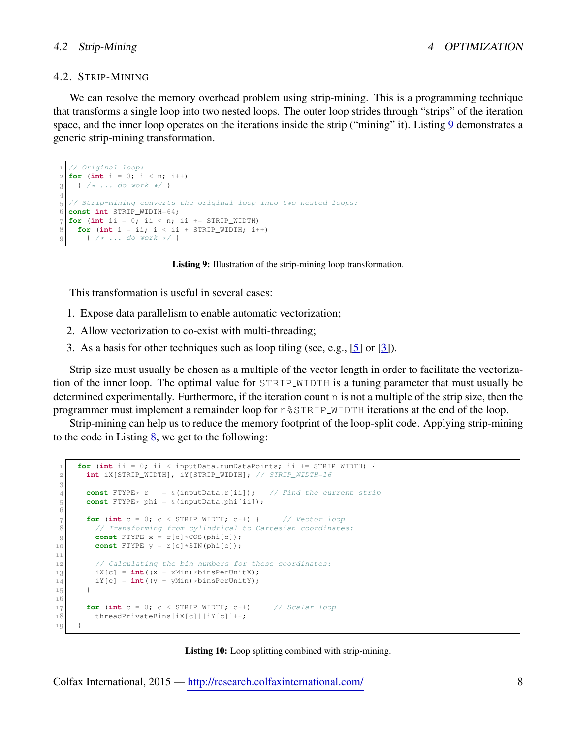#### <span id="page-7-0"></span>4.2. STRIP-MINING

We can resolve the memory overhead problem using strip-mining. This is a programming technique that transforms a single loop into two nested loops. The outer loop strides through "strips" of the iteration space, and the inner loop operates on the iterations inside the strip ("mining" it). Listing [9](#page-7-1) demonstrates a generic strip-mining transformation.

```
 // Original loop:
\frac{1}{2} for (int i = 0; i < n; i++)
{3} { /* ... do work */ }
\overline{A} // Strip-mining converts the original loop into two nested loops:
 const int STRIP_WIDTH=64;
7 \vert for (int ii = 0; ii < n; ii += STRIP_WIDTH)
   for (int i = i i; i < i i + STRIP_MIDTH; i++)\{ / * ... do work */ \}
```
Listing 9: Illustration of the strip-mining loop transformation.

This transformation is useful in several cases:

- 1. Expose data parallelism to enable automatic vectorization;
- 2. Allow vectorization to co-exist with multi-threading;
- 3. As a basis for other techniques such as loop tiling (see, e.g., [\[5\]](#page-13-7) or [\[3\]](#page-13-4)).

Strip size must usually be chosen as a multiple of the vector length in order to facilitate the vectorization of the inner loop. The optimal value for STRIP WIDTH is a tuning parameter that must usually be determined experimentally. Furthermore, if the iteration count n is not a multiple of the strip size, then the programmer must implement a remainder loop for n%STRIP WIDTH iterations at the end of the loop.

Strip-mining can help us to reduce the memory footprint of the loop-split code. Applying strip-mining to the code in Listing [8,](#page-6-3) we get to the following:

```
for (int ii = 0; ii < inputData.numDataPoints; ii += STRIP WIDTH) {
 int iX[STRIP_WIDTH], iY[STRIP_WIDTH]; // STRIP_WIDTH=16
\boldsymbol{3}const FTYPE* r = \& (inputData.r[i]); // Find the current strip
       const FTYPE* phi = &(inputData.phi[ii]);
^5_67 for (int c = 0; c < STRIP_WIDTH; c++) { // Vector loop
8 // Transforming from cylindrical to Cartesian coordinates:
9 const FTYPE x = r[c] * COS(phi[c]);
\begin{bmatrix} 10 \\ 10 \end{bmatrix} const FTYPE y = r[c]*SIN(\text{phi}[c]);
1112 // Calculating the bin numbers for these coordinates:
iX[c] = int((x - xMin) * binsPerUnitX);i4 iY[c] = int ((y - yMin) *binsPerUnitY);
15 }
16\,\mathbb{F}[17] for (int c = 0; c < \text{STRIP\_WIDTH}; c++) // Scalar loop
18 threadPrivateBins[iX[c]][iY[c]]++;
19
```
Listing 10: Loop splitting combined with strip-mining.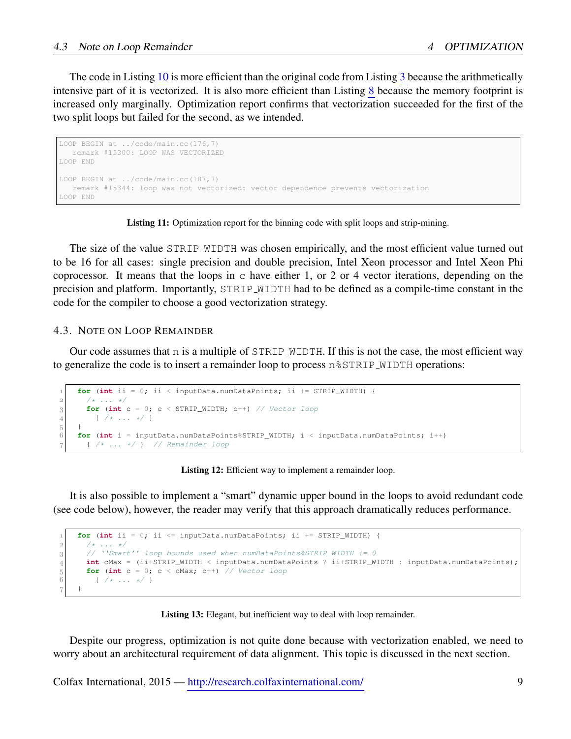The code in Listing [10](#page-7-2) is more efficient than the original code from Listing [3](#page-2-1) because the arithmetically intensive part of it is vectorized. It is also more efficient than Listing [8](#page-6-3) because the memory footprint is increased only marginally. Optimization report confirms that vectorization succeeded for the first of the two split loops but failed for the second, as we intended.

```
LOOP BEGIN at ../code/main.cc(176,7)
   remark #15300: LOOP WAS VECTORIZED
LOOP END
LOOP BEGIN at ../code/main.cc(187,7)
 remark #15344: loop was not vectorized: vector dependence prevents vectorization
LOOP END
```
Listing 11: Optimization report for the binning code with split loops and strip-mining.

The size of the value STRIP WIDTH was chosen empirically, and the most efficient value turned out to be 16 for all cases: single precision and double precision, Intel Xeon processor and Intel Xeon Phi coprocessor. It means that the loops in  $\sigma$  have either 1, or 2 or 4 vector iterations, depending on the precision and platform. Importantly, STRIP WIDTH had to be defined as a compile-time constant in the code for the compiler to choose a good vectorization strategy.

#### <span id="page-8-0"></span>4.3. NOTE ON LOOP REMAINDER

Our code assumes that  $n$  is a multiple of STRIP\_WIDTH. If this is not the case, the most efficient way to generalize the code is to insert a remainder loop to process  $n$   $\text{STRIP-WIDTH}$  operations:

```
 for (int ii = 0; ii < inputData.numDataPoints; ii += STRIP_WIDTH) {
2 \mid /* ... */
\begin{bmatrix} 3 \end{bmatrix} for (int c = 0; c < STRIP_WIDTH; c++) // Vector loop
{4} { /* ... */ }
^5_6 for (int i = inputData.numDataPoints%STRIP_WIDTH; i < inputData.numDataPoints; i++)
       { /* ... */ } // Remainder loop
```
#### Listing 12: Efficient way to implement a remainder loop.

It is also possible to implement a "smart" dynamic upper bound in the loops to avoid redundant code (see code below), however, the reader may verify that this approach dramatically reduces performance.

```
 for (int ii = 0; ii <= inputData.numDataPoints; ii += STRIP_WIDTH) {
      /* \ldots */3 // ''Smart'' loop bounds used when numDataPoints%STRIP_WIDTH != 0
 int cMax = (ii+STRIP_WIDTH < inputData.numDataPoints ? ii+STRIP_WIDTH : inputData.numDataPoints);
for (int c = 0; c < cMax; c++) // Vector loop \begin{array}{c} 6 \end{array} ( /* ... */ }
        \{ /* \ldots * / \}7 }
```
Listing 13: Elegant, but inefficient way to deal with loop remainder.

Despite our progress, optimization is not quite done because with vectorization enabled, we need to worry about an architectural requirement of data alignment. This topic is discussed in the next section.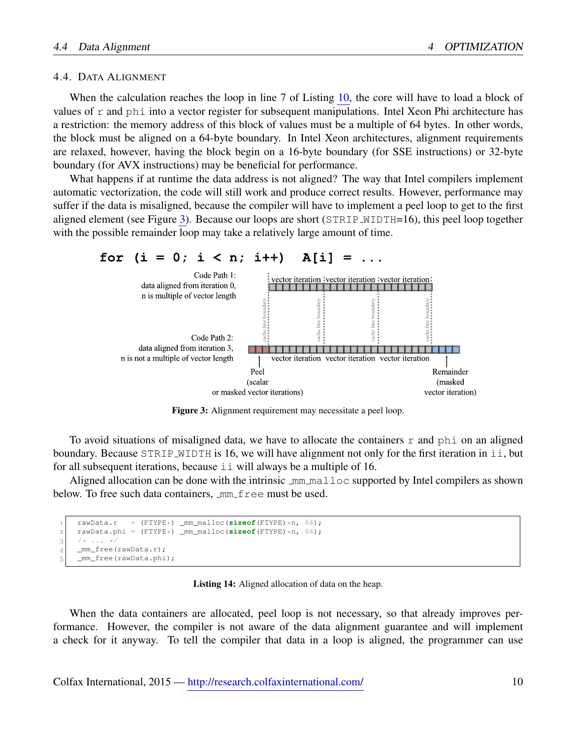#### <span id="page-9-0"></span>4.4. DATA ALIGNMENT

When the calculation reaches the loop in line 7 of Listing [10,](#page-7-2) the core will have to load a block of values of  $r$  and phi into a vector register for subsequent manipulations. Intel Xeon Phi architecture has a restriction: the memory address of this block of values must be a multiple of 64 bytes. In other words, the block must be aligned on a 64-byte boundary. In Intel Xeon architectures, alignment requirements are relaxed, however, having the block begin on a 16-byte boundary (for SSE instructions) or 32-byte boundary (for AVX instructions) may be beneficial for performance.

What happens if at runtime the data address is not aligned? The way that Intel compilers implement automatic vectorization, the code will still work and produce correct results. However, performance may suffer if the data is misaligned, because the compiler will have to implement a peel loop to get to the first aligned element (see Figure [3\)](#page-9-1). Because our loops are short (STRIP\_WIDTH=16), this peel loop together with the possible remainder loop may take a relatively large amount of time.

<span id="page-9-1"></span>

Figure 3: Alignment requirement may necessitate a peel loop.

To avoid situations of misaligned data, we have to allocate the containers  $r$  and phi on an aligned boundary. Because  $STRIP_MIDTH$  is 16, we will have alignment not only for the first iteration in  $\pm i$ , but for all subsequent iterations, because ii will always be a multiple of 16.

Aligned allocation can be done with the intrinsic  $\text{mm\_malloc}$  supported by Intel compilers as shown below. To free such data containers,  $\text{mm-free must be used.}$ 

```
 rawData.r = (FTYPE*) _mm_malloc(sizeof(FTYPE)*n, 64);
     rawData.phi = (FTYPE*) _mm_malloc(sizeof(FTYPE)*n, 64);
3 /* ... */
     _mm_free(rawData.r);
     _mm_free(rawData.phi);
```
Listing 14: Aligned allocation of data on the heap.

When the data containers are allocated, peel loop is not necessary, so that already improves performance. However, the compiler is not aware of the data alignment guarantee and will implement a check for it anyway. To tell the compiler that data in a loop is aligned, the programmer can use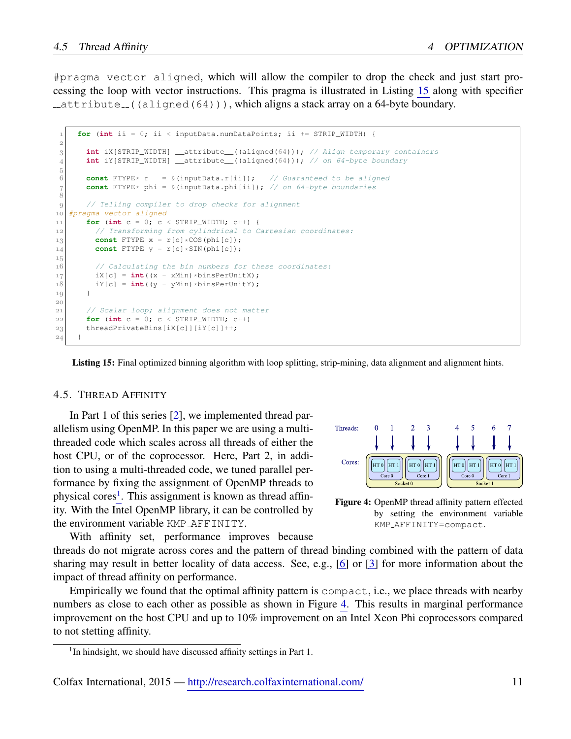#pragma vector aligned, which will allow the compiler to drop the check and just start processing the loop with vector instructions. This pragma is illustrated in Listing [15](#page-10-1) along with specifier  $\text{\_}$  attribute  $\text{\_}$  ((aligned(64))), which aligns a stack array on a 64-byte boundary.

```
 for (int ii = 0; ii < inputData.numDataPoints; ii += STRIP_WIDTH) {
\overline{2} int iX[STRIP_WIDTH] __attribute__((aligned(64))); // Align temporary containers
 int iY[STRIP_WIDTH] __attribute__((aligned(64))); // on 64-byte boundary
^5_6 const FTYPE* r = &(inputData.r[ii]); // Guaranteed to be aligned
const FTYPE* phi = \alpha(inputData.phi[ii]); // on 64-byte boundaries
8
 // Telling compiler to drop checks for alignment
 #pragma vector aligned
f(x) for (int c = 0; c < STRIP_WIDTH; c++) {
 // Transforming from cylindrical to Cartesian coordinates:
13 const FTYPE x = r[c] * COS(phi[c]);
14 const FTYPE y = r[c]*SIN(phi[c]);
15 // Calculating the bin numbers for these coordinates:
\begin{array}{c} 17 \\ 18 \end{array} \begin{array}{c} iX[c] = \text{int}((x - xMin) * binsPerUnitX); \\ iY[c] = \text{int}((y - yMin) * binsPerUnitY); \end{array}iY[c] = int((y - yMin) * binsPerUnitY);19
2021 // Scalar loop; alignment does not matter
|22| for (int c = 0; c < \text{STRIP\_WIDTH}; c++)
23 threadPrivateBins[iX[c]][iY[c]]++;
24 }
```
Listing 15: Final optimized binning algorithm with loop splitting, strip-mining, data alignment and alignment hints.

#### <span id="page-10-0"></span>4.5. THREAD AFFINITY

In Part 1 of this series [\[2\]](#page-13-3), we implemented thread parallelism using OpenMP. In this paper we are using a multithreaded code which scales across all threads of either the host CPU, or of the coprocessor. Here, Part 2, in addition to using a multi-threaded code, we tuned parallel performance by fixing the assignment of OpenMP threads to physical cores<sup>[1](#page-10-2)</sup>. This assignment is known as thread affinity. With the Intel OpenMP library, it can be controlled by the environment variable KMP AFFINITY.

With affinity set, performance improves because

<span id="page-10-3"></span>

Figure 4: OpenMP thread affinity pattern effected by setting the environment variable KMP AFFINITY=compact.

threads do not migrate across cores and the pattern of thread binding combined with the pattern of data sharing may result in better locality of data access. See, e.g., [\[6\]](#page-13-8) or [\[3\]](#page-13-4) for more information about the impact of thread affinity on performance.

Empirically we found that the optimal affinity pattern is compact, i.e., we place threads with nearby numbers as close to each other as possible as shown in Figure [4.](#page-10-3) This results in marginal performance improvement on the host CPU and up to 10% improvement on an Intel Xeon Phi coprocessors compared to not stetting affinity.

<span id="page-10-2"></span><sup>&</sup>lt;sup>1</sup>In hindsight, we should have discussed affinity settings in Part 1.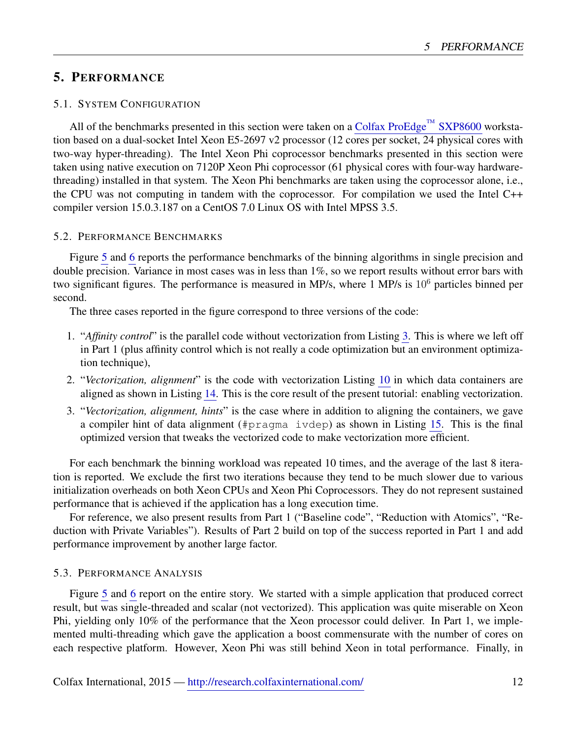# <span id="page-11-0"></span>5. PERFORMANCE

#### <span id="page-11-1"></span>5.1. SYSTEM CONFIGURATION

All of the benchmarks presented in this section were taken on a [Colfax ProEdge](http://www.colfax-intl.com/nd/workstations/sxp8600.aspx)<sup>™</sup> SXP8600 workstation based on a dual-socket Intel Xeon E5-2697 v2 processor (12 cores per socket, 24 physical cores with two-way hyper-threading). The Intel Xeon Phi coprocessor benchmarks presented in this section were taken using native execution on 7120P Xeon Phi coprocessor (61 physical cores with four-way hardwarethreading) installed in that system. The Xeon Phi benchmarks are taken using the coprocessor alone, i.e., the CPU was not computing in tandem with the coprocessor. For compilation we used the Intel C++ compiler version 15.0.3.187 on a CentOS 7.0 Linux OS with Intel MPSS 3.5.

#### <span id="page-11-2"></span>5.2. PERFORMANCE BENCHMARKS

Figure [5](#page-12-0) and [6](#page-12-1) reports the performance benchmarks of the binning algorithms in single precision and double precision. Variance in most cases was in less than 1%, so we report results without error bars with two significant figures. The performance is measured in MP/s, where 1 MP/s is 10<sup>6</sup> particles binned per second.

The three cases reported in the figure correspond to three versions of the code:

- 1. "*Affinity control*" is the parallel code without vectorization from Listing [3.](#page-2-1) This is where we left off in Part 1 (plus affinity control which is not really a code optimization but an environment optimization technique),
- 2. "*Vectorization, alignment*" is the code with vectorization Listing [10](#page-7-2) in which data containers are aligned as shown in Listing [14.](#page-9-2) This is the core result of the present tutorial: enabling vectorization.
- 3. "*Vectorization, alignment, hints*" is the case where in addition to aligning the containers, we gave a compiler hint of data alignment (#pragma ivdep) as shown in Listing [15.](#page-10-1) This is the final optimized version that tweaks the vectorized code to make vectorization more efficient.

For each benchmark the binning workload was repeated 10 times, and the average of the last 8 iteration is reported. We exclude the first two iterations because they tend to be much slower due to various initialization overheads on both Xeon CPUs and Xeon Phi Coprocessors. They do not represent sustained performance that is achieved if the application has a long execution time.

For reference, we also present results from Part 1 ("Baseline code", "Reduction with Atomics", "Reduction with Private Variables"). Results of Part 2 build on top of the success reported in Part 1 and add performance improvement by another large factor.

#### <span id="page-11-3"></span>5.3. PERFORMANCE ANALYSIS

Figure [5](#page-12-0) and [6](#page-12-1) report on the entire story. We started with a simple application that produced correct result, but was single-threaded and scalar (not vectorized). This application was quite miserable on Xeon Phi, yielding only 10% of the performance that the Xeon processor could deliver. In Part 1, we implemented multi-threading which gave the application a boost commensurate with the number of cores on each respective platform. However, Xeon Phi was still behind Xeon in total performance. Finally, in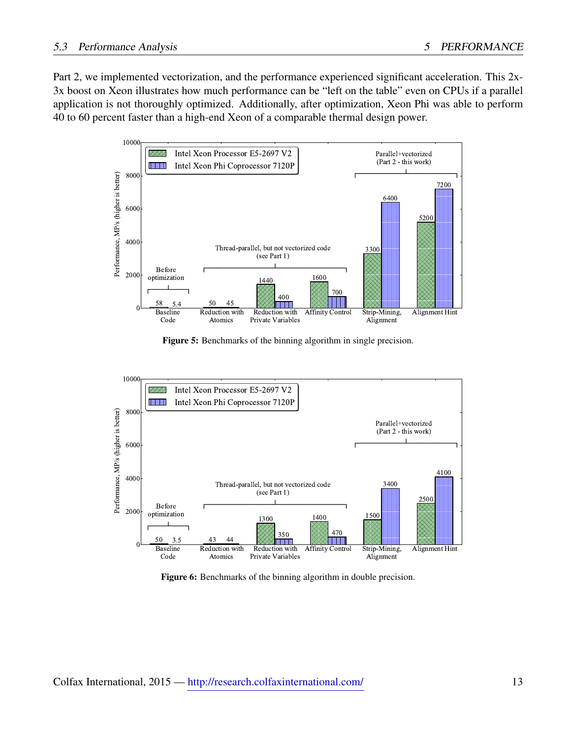Part 2, we implemented vectorization, and the performance experienced significant acceleration. This 2x-3x boost on Xeon illustrates how much performance can be "left on the table" even on CPUs if a parallel application is not thoroughly optimized. Additionally, after optimization, Xeon Phi was able to perform 40 to 60 percent faster than a high-end Xeon of a comparable thermal design power.

<span id="page-12-0"></span>

Figure 5: Benchmarks of the binning algorithm in single precision.

<span id="page-12-1"></span>

Figure 6: Benchmarks of the binning algorithm in double precision.